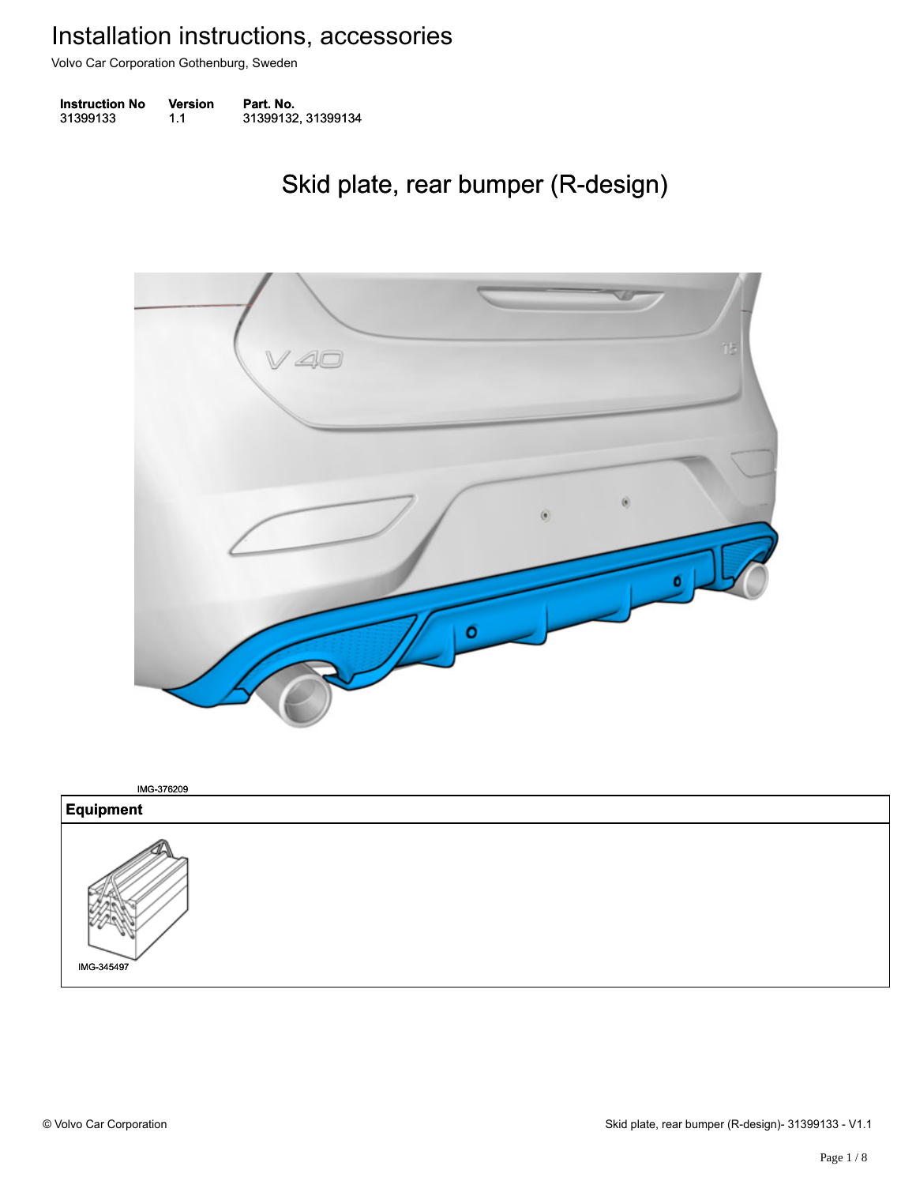Volvo Car Corporation Gothenburg, Sweden

| <b>Instruction No</b> | <b>Version</b> | Part. No.          |
|-----------------------|----------------|--------------------|
| 31399133              | 1.1            | 31399132, 31399134 |

### Skid plate, rear bumper (R-design) Skid plate, rear bumper (R-design)



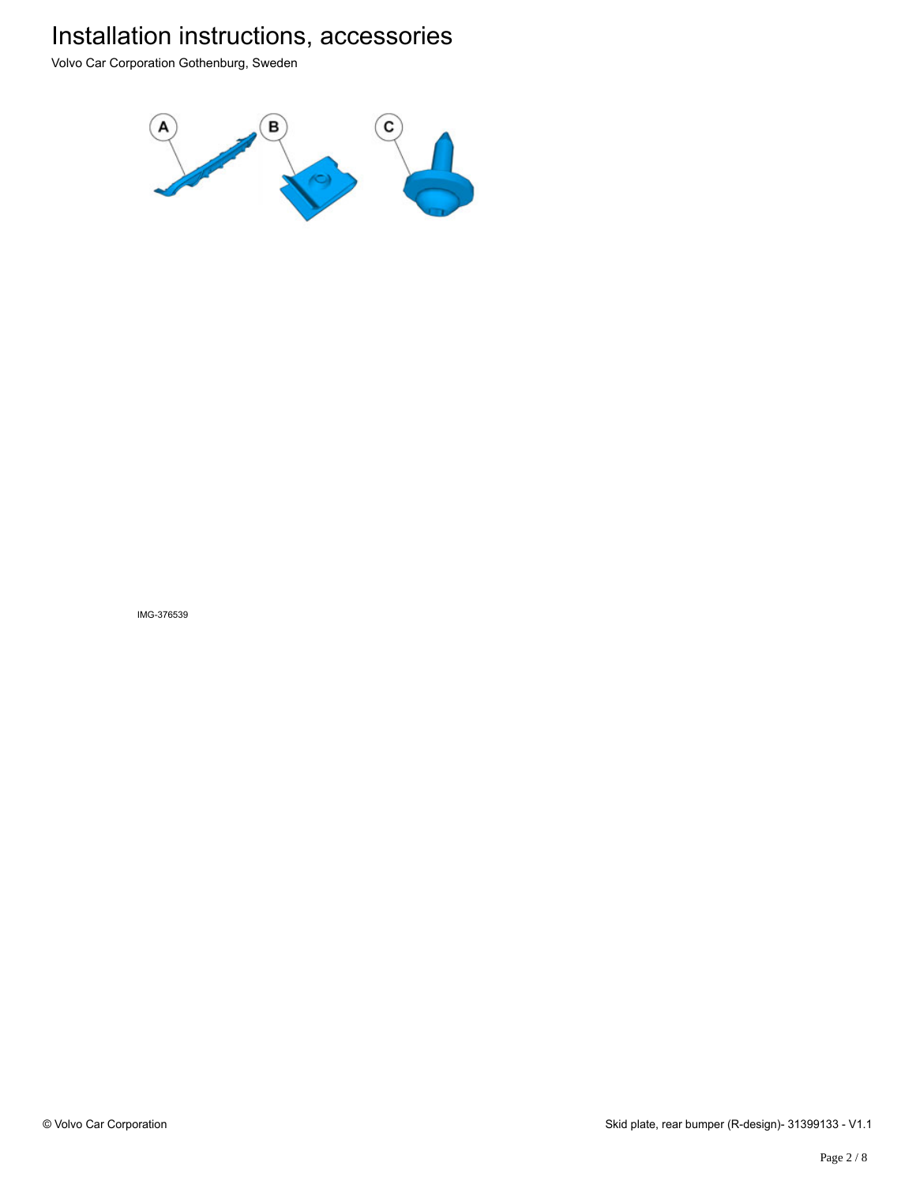Volvo Car Corporation Gothenburg, Sweden



IMG-376539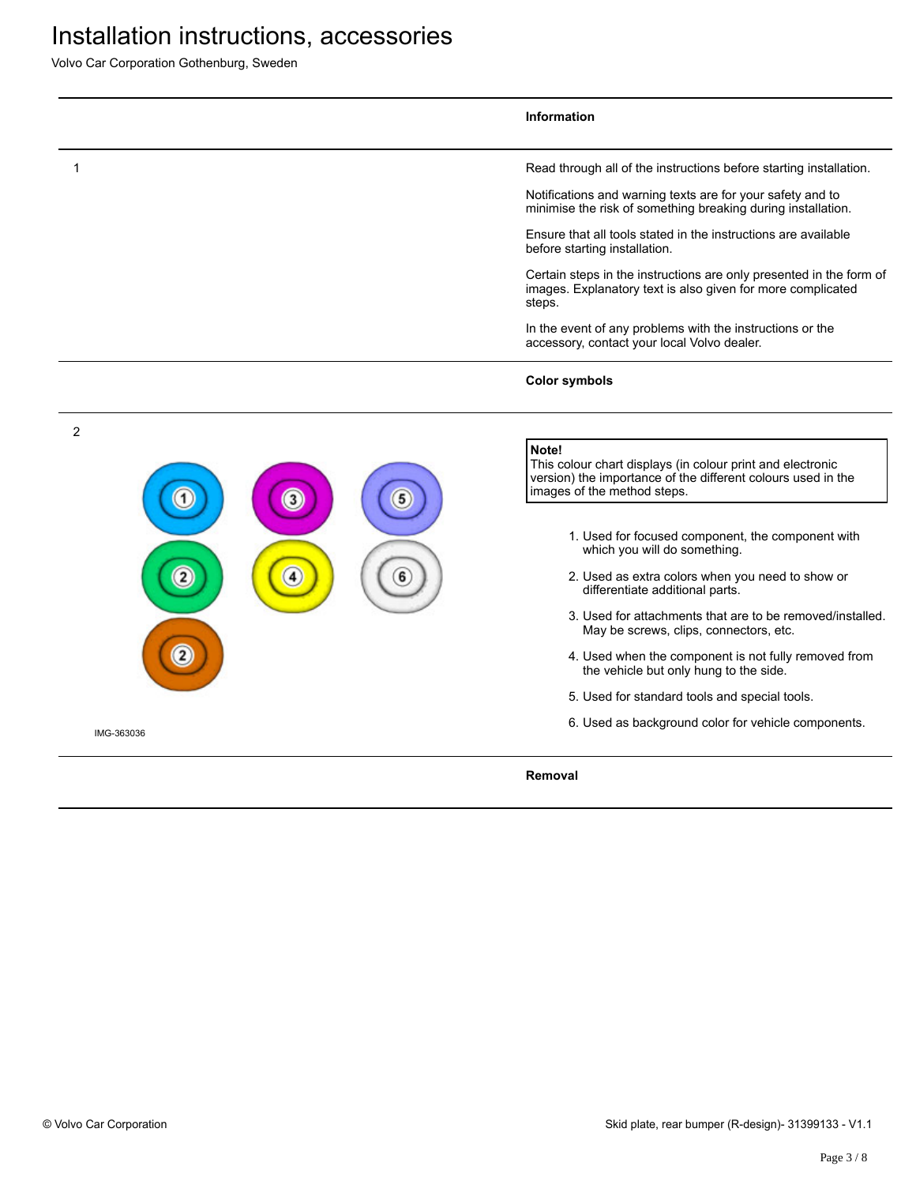Volvo Car Corporation Gothenburg, Sweden

|                | <b>Information</b>                                                                                                                                                 |
|----------------|--------------------------------------------------------------------------------------------------------------------------------------------------------------------|
|                | Read through all of the instructions before starting installation.                                                                                                 |
|                | Notifications and warning texts are for your safety and to<br>minimise the risk of something breaking during installation.                                         |
|                | Ensure that all tools stated in the instructions are available<br>before starting installation.                                                                    |
|                | Certain steps in the instructions are only presented in the form of<br>images. Explanatory text is also given for more complicated<br>steps.                       |
|                | In the event of any problems with the instructions or the<br>accessory, contact your local Volvo dealer.                                                           |
|                | <b>Color symbols</b>                                                                                                                                               |
| $\overline{2}$ |                                                                                                                                                                    |
| 3              | Note!<br>This colour chart displays (in colour print and electronic<br>version) the importance of the different colours used in the<br>images of the method steps. |
|                | 1. Used for focused component, the component with<br>which you will do something.                                                                                  |
|                | 2. Used as extra colors when you need to show or<br>differentiate additional parts.                                                                                |
|                | 3. Used for attachments that are to be removed/installed.<br>May be screws, clips, connectors, etc.                                                                |
|                | 4. Used when the component is not fully removed from<br>the vehicle but only hung to the side.                                                                     |
|                | 5. Used for standard tools and special tools.                                                                                                                      |
| IMG-363036     | 6. Used as background color for vehicle components.                                                                                                                |
|                | Removal                                                                                                                                                            |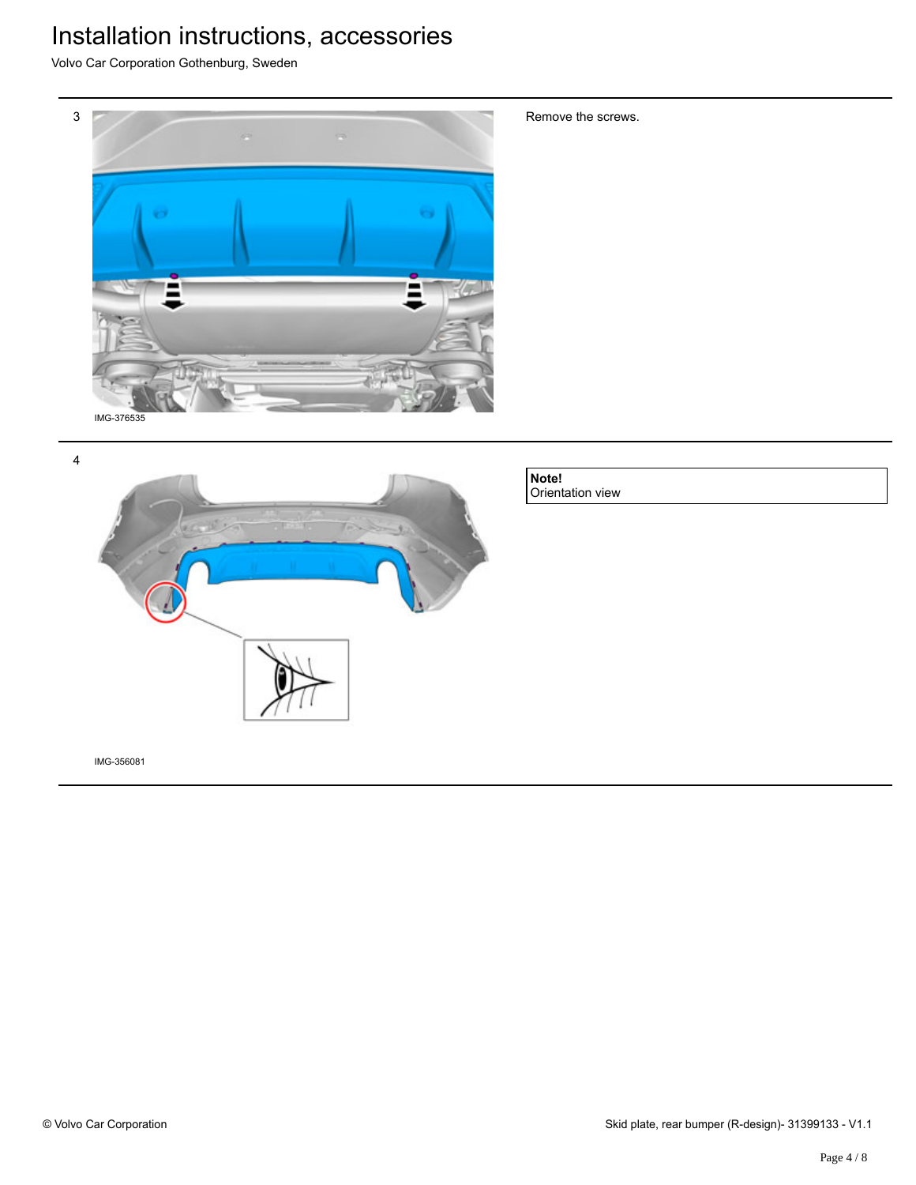Volvo Car Corporation Gothenburg, Sweden



4



**Note!** Orientation view

Remove the screws.

IMG-356081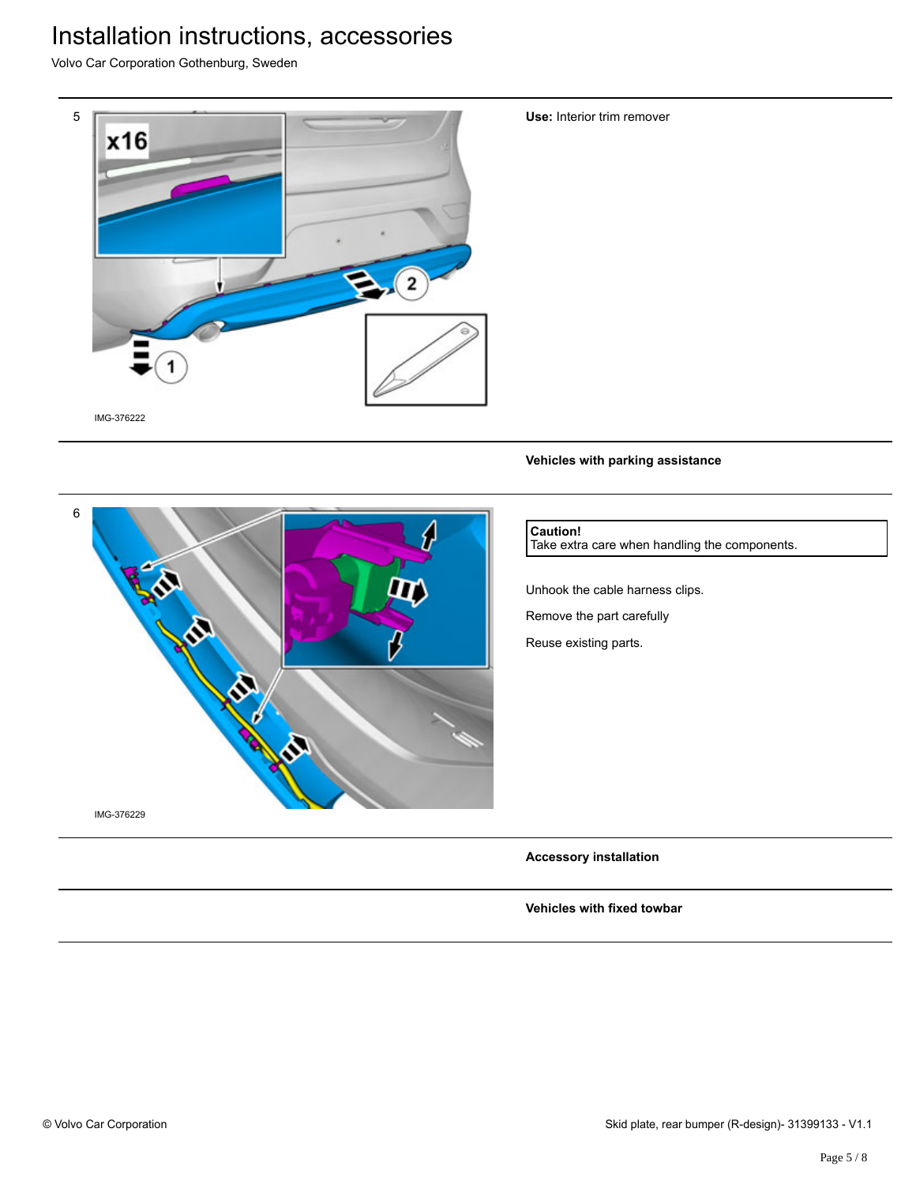Volvo Car Corporation Gothenburg, Sweden



**Use:** Interior trim remover

**Vehicles with parking assistance**



### **Caution!**

Take extra care when handling the components.

Unhook the cable harness clips. Remove the part carefully

Reuse existing parts.

**Accessory installation**

**Vehicles with fixed towbar**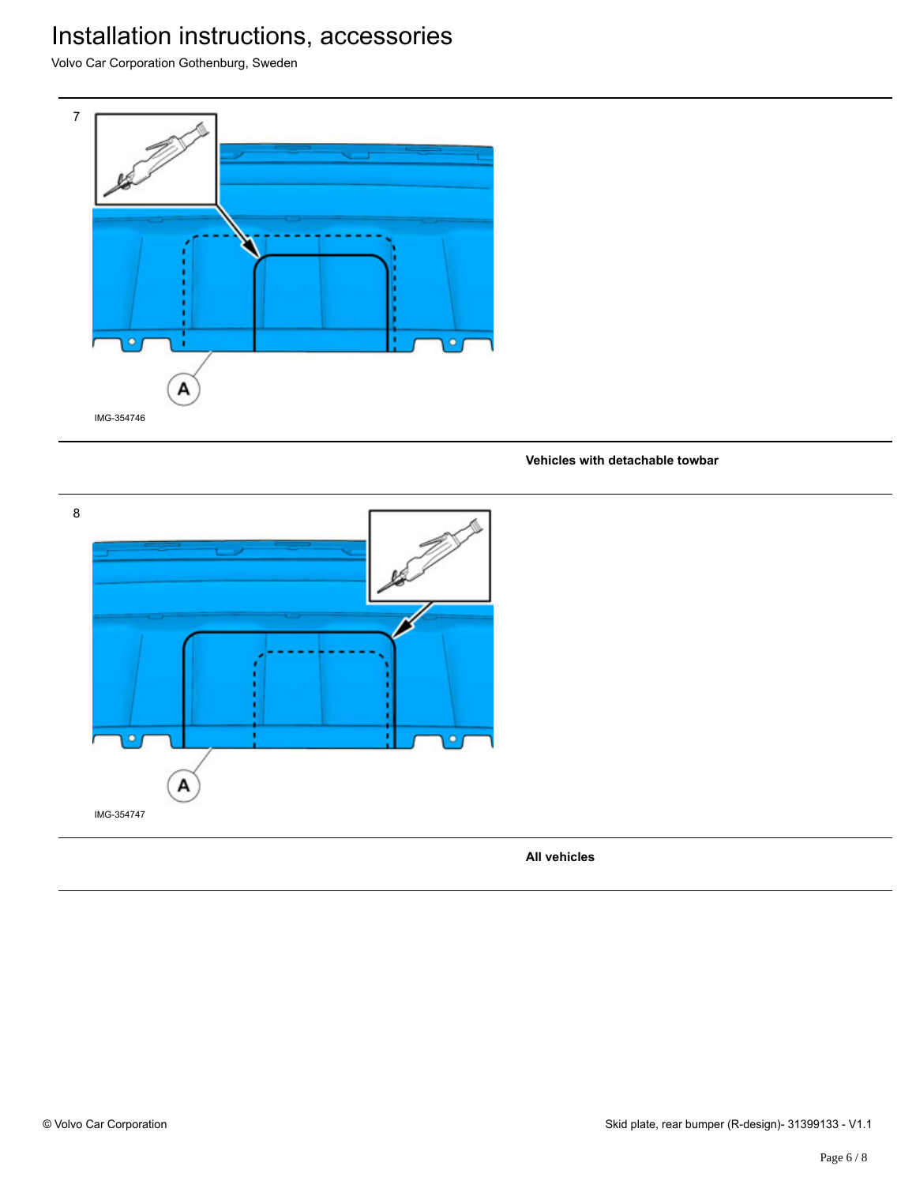Volvo Car Corporation Gothenburg, Sweden



#### **Vehicles with detachable towbar**

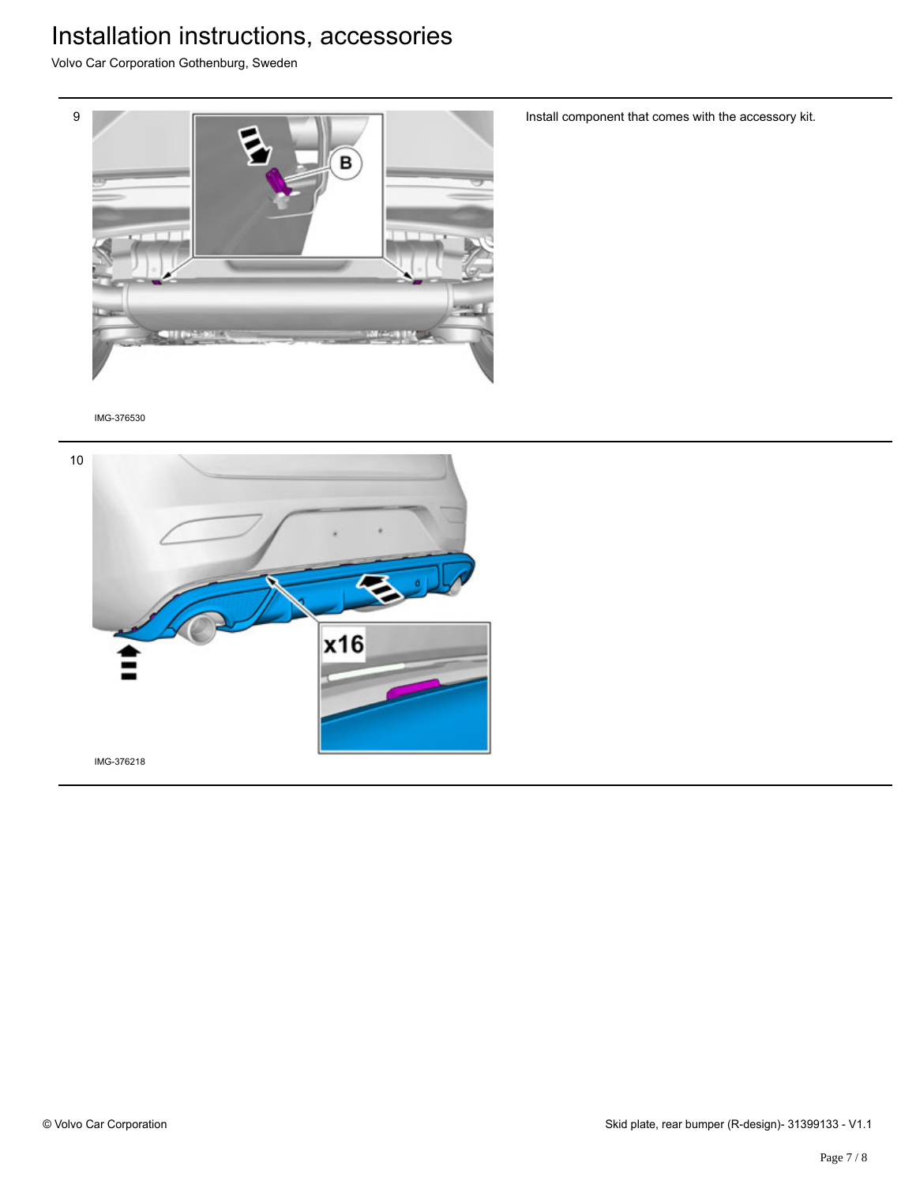Volvo Car Corporation Gothenburg, Sweden



Install component that comes with the accessory kit.

IMG-376530